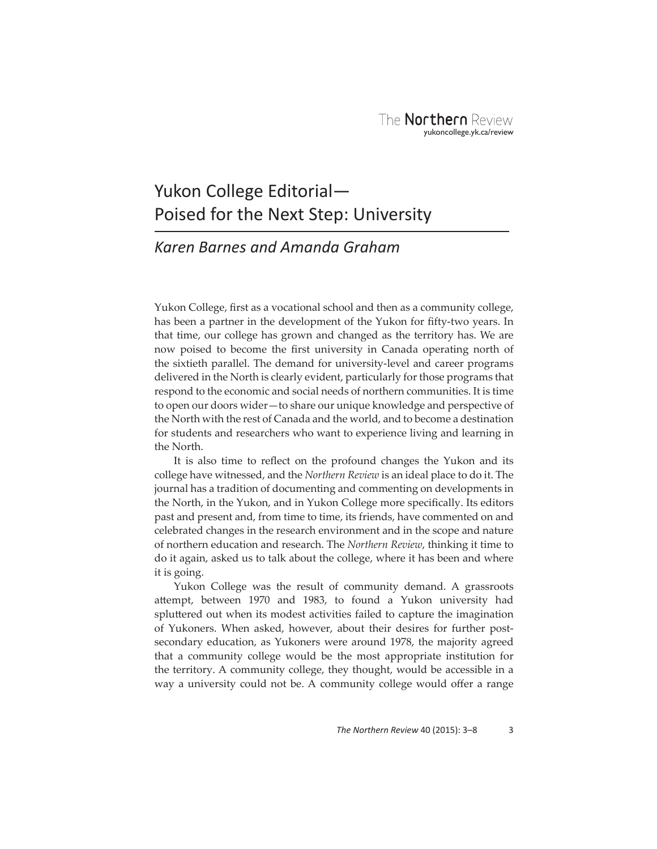## Yukon College Editorial— Poised for the Next Step: University

## *Karen Barnes and Amanda Graham*

Yukon College, first as a vocational school and then as a community college, has been a partner in the development of the Yukon for fifty-two years. In that time, our college has grown and changed as the territory has. We are now poised to become the first university in Canada operating north of the sixtieth parallel. The demand for university-level and career programs delivered in the North is clearly evident, particularly for those programs that respond to the economic and social needs of northern communities. It is time to open our doors wider—to share our unique knowledge and perspective of the North with the rest of Canada and the world, and to become a destination for students and researchers who want to experience living and learning in the North.

It is also time to reflect on the profound changes the Yukon and its college have witnessed, and the *Northern Review* is an ideal place to do it. The journal has a tradition of documenting and commenting on developments in the North, in the Yukon, and in Yukon College more specifically. Its editors past and present and, from time to time, its friends, have commented on and celebrated changes in the research environment and in the scope and nature of northern education and research. The *Northern Review*, thinking it time to do it again, asked us to talk about the college, where it has been and where it is going.

Yukon College was the result of community demand. A grassroots attempt, between 1970 and 1983, to found a Yukon university had spluttered out when its modest activities failed to capture the imagination of Yukoners. When asked, however, about their desires for further postsecondary education, as Yukoners were around 1978, the majority agreed that a community college would be the most appropriate institution for the territory. A community college, they thought, would be accessible in a way a university could not be. A community college would offer a range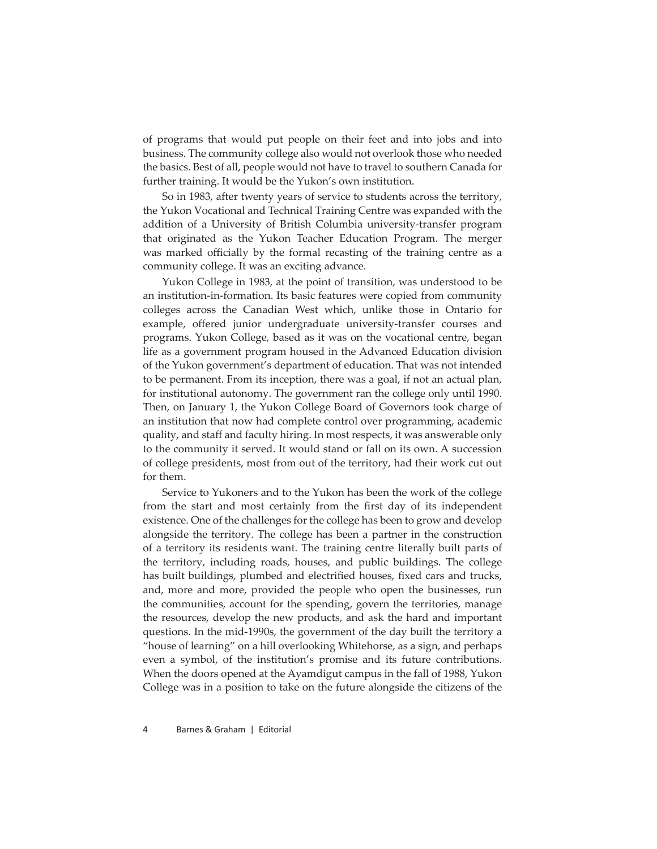of programs that would put people on their feet and into jobs and into business. The community college also would not overlook those who needed the basics. Best of all, people would not have to travel to southern Canada for further training. It would be the Yukon's own institution.

So in 1983, after twenty years of service to students across the territory, the Yukon Vocational and Technical Training Centre was expanded with the addition of a University of British Columbia university-transfer program that originated as the Yukon Teacher Education Program. The merger was marked officially by the formal recasting of the training centre as a community college. It was an exciting advance.

Yukon College in 1983, at the point of transition, was understood to be an institution-in-formation. Its basic features were copied from community colleges across the Canadian West which, unlike those in Ontario for example, offered junior undergraduate university-transfer courses and programs. Yukon College, based as it was on the vocational centre, began life as a government program housed in the Advanced Education division of the Yukon government's department of education. That was not intended to be permanent. From its inception, there was a goal, if not an actual plan, for institutional autonomy. The government ran the college only until 1990. Then, on January 1, the Yukon College Board of Governors took charge of an institution that now had complete control over programming, academic quality, and staff and faculty hiring. In most respects, it was answerable only to the community it served. It would stand or fall on its own. A succession of college presidents, most from out of the territory, had their work cut out for them.

Service to Yukoners and to the Yukon has been the work of the college from the start and most certainly from the first day of its independent existence. One of the challenges for the college has been to grow and develop alongside the territory. The college has been a partner in the construction of a territory its residents want. The training centre literally built parts of the territory, including roads, houses, and public buildings. The college has built buildings, plumbed and electrified houses, fixed cars and trucks, and, more and more, provided the people who open the businesses, run the communities, account for the spending, govern the territories, manage the resources, develop the new products, and ask the hard and important questions. In the mid-1990s, the government of the day built the territory a "house of learning" on a hill overlooking Whitehorse, as a sign, and perhaps even a symbol, of the institution's promise and its future contributions. When the doors opened at the Ayamdigut campus in the fall of 1988, Yukon College was in a position to take on the future alongside the citizens of the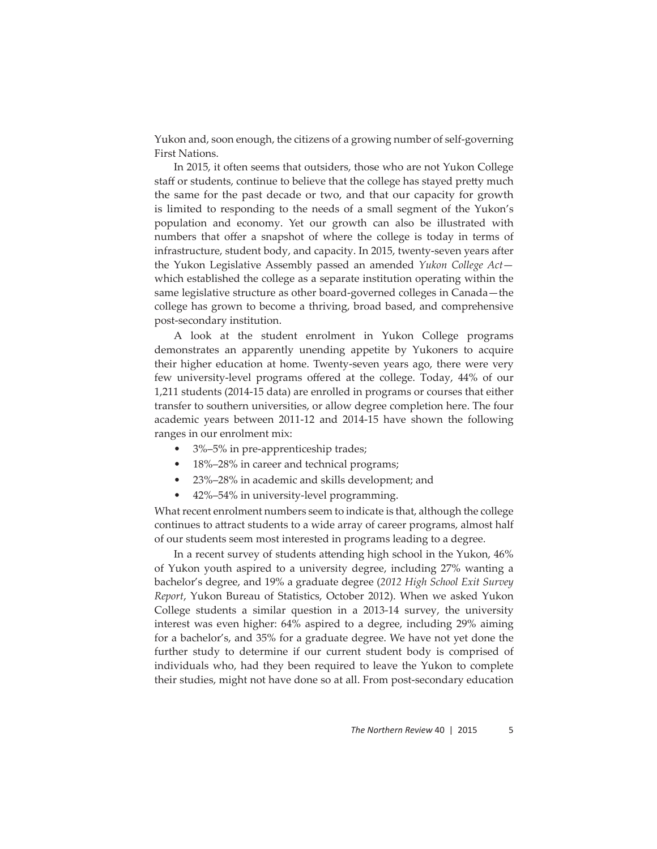Yukon and, soon enough, the citizens of a growing number of self-governing First Nations.

In 2015, it often seems that outsiders, those who are not Yukon College staff or students, continue to believe that the college has stayed pretty much the same for the past decade or two, and that our capacity for growth is limited to responding to the needs of a small segment of the Yukon's population and economy. Yet our growth can also be illustrated with numbers that offer a snapshot of where the college is today in terms of infrastructure, student body, and capacity. In 2015, twenty-seven years after the Yukon Legislative Assembly passed an amended *Yukon College Act* which established the college as a separate institution operating within the same legislative structure as other board-governed colleges in Canada—the college has grown to become a thriving, broad based, and comprehensive post-secondary institution.

A look at the student enrolment in Yukon College programs demonstrates an apparently unending appetite by Yukoners to acquire their higher education at home. Twenty-seven years ago, there were very few university-level programs offered at the college. Today, 44% of our 1,211 students (2014-15 data) are enrolled in programs or courses that either transfer to southern universities, or allow degree completion here. The four academic years between 2011-12 and 2014-15 have shown the following ranges in our enrolment mix:

- 3%–5% in pre-apprenticeship trades;
- 18%–28% in career and technical programs;
- 23%–28% in academic and skills development; and
- 42%–54% in university-level programming.

What recent enrolment numbers seem to indicate is that, although the college continues to attract students to a wide array of career programs, almost half of our students seem most interested in programs leading to a degree.

In a recent survey of students attending high school in the Yukon, 46% of Yukon youth aspired to a university degree, including 27% wanting a bachelor's degree, and 19% a graduate degree (*2012 High School Exit Survey Report*, Yukon Bureau of Statistics, October 2012). When we asked Yukon College students a similar question in a 2013-14 survey, the university interest was even higher: 64% aspired to a degree, including 29% aiming for a bachelor's, and 35% for a graduate degree. We have not yet done the further study to determine if our current student body is comprised of individuals who, had they been required to leave the Yukon to complete their studies, might not have done so at all. From post-secondary education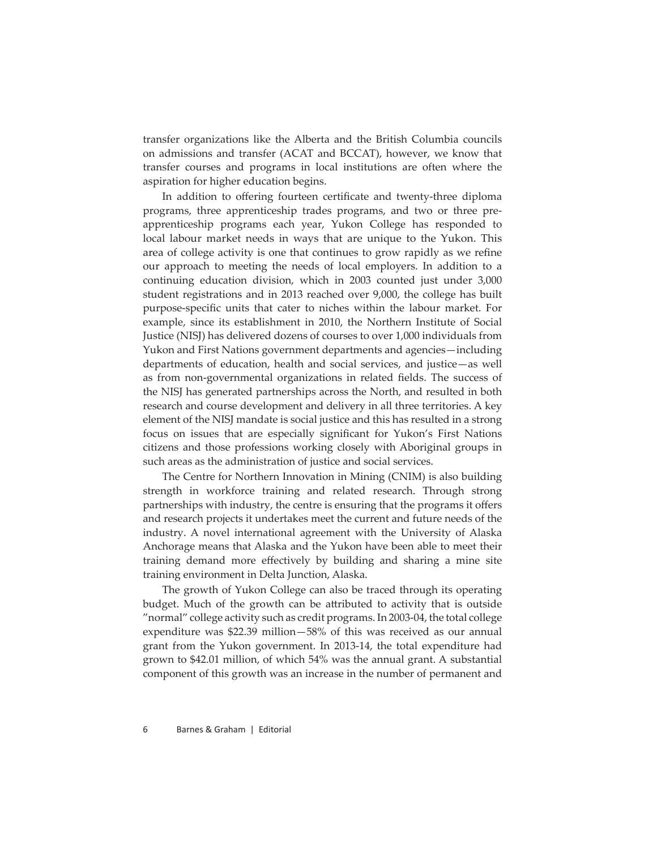transfer organizations like the Alberta and the British Columbia councils on admissions and transfer (ACAT and BCCAT), however, we know that transfer courses and programs in local institutions are often where the aspiration for higher education begins.

In addition to offering fourteen certificate and twenty-three diploma programs, three apprenticeship trades programs, and two or three preapprenticeship programs each year, Yukon College has responded to local labour market needs in ways that are unique to the Yukon. This area of college activity is one that continues to grow rapidly as we refine our approach to meeting the needs of local employers. In addition to a continuing education division, which in 2003 counted just under 3,000 student registrations and in 2013 reached over 9,000, the college has built purpose-specific units that cater to niches within the labour market. For example, since its establishment in 2010, the Northern Institute of Social Justice (NISJ) has delivered dozens of courses to over 1,000 individuals from Yukon and First Nations government departments and agencies—including departments of education, health and social services, and justice—as well as from non-governmental organizations in related fields. The success of the NISJ has generated partnerships across the North, and resulted in both research and course development and delivery in all three territories. A key element of the NISJ mandate is social justice and this has resulted in a strong focus on issues that are especially significant for Yukon's First Nations citizens and those professions working closely with Aboriginal groups in such areas as the administration of justice and social services.

The Centre for Northern Innovation in Mining (CNIM) is also building strength in workforce training and related research. Through strong partnerships with industry, the centre is ensuring that the programs it offers and research projects it undertakes meet the current and future needs of the industry. A novel international agreement with the University of Alaska Anchorage means that Alaska and the Yukon have been able to meet their training demand more effectively by building and sharing a mine site training environment in Delta Junction, Alaska.

The growth of Yukon College can also be traced through its operating budget. Much of the growth can be attributed to activity that is outside "normal" college activity such as credit programs. In 2003-04, the total college expenditure was \$22.39 million—58% of this was received as our annual grant from the Yukon government. In 2013-14, the total expenditure had grown to \$42.01 million, of which 54% was the annual grant. A substantial component of this growth was an increase in the number of permanent and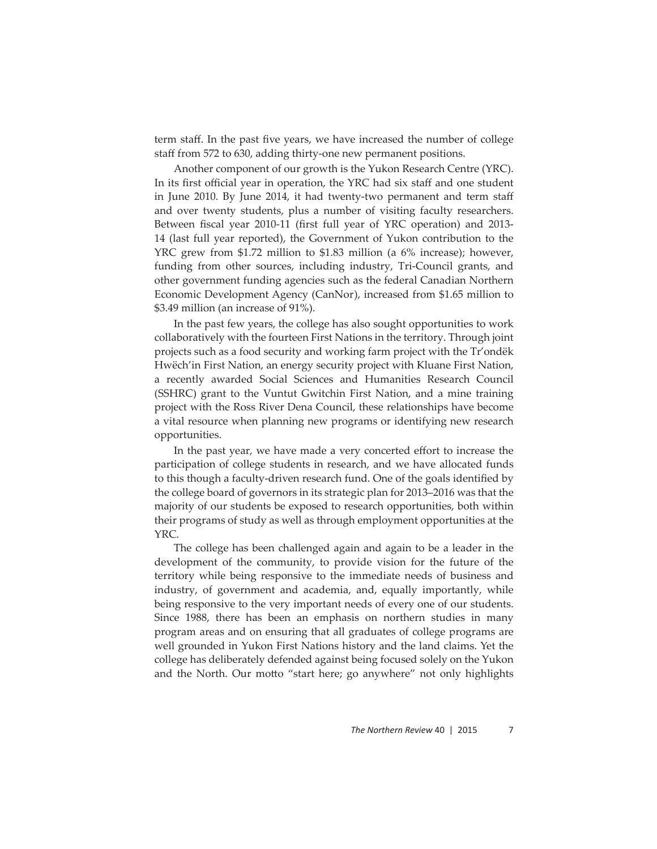term staff. In the past five years, we have increased the number of college staff from 572 to 630, adding thirty-one new permanent positions.

Another component of our growth is the Yukon Research Centre (YRC). In its first official year in operation, the YRC had six staff and one student in June 2010. By June 2014, it had twenty-two permanent and term staff and over twenty students, plus a number of visiting faculty researchers. Between fiscal year 2010-11 (first full year of YRC operation) and 2013-14 (last full year reported), the Government of Yukon contribution to the YRC grew from \$1.72 million to \$1.83 million (a 6% increase); however, funding from other sources, including industry, Tri-Council grants, and other government funding agencies such as the federal Canadian Northern Economic Development Agency (CanNor), increased from \$1.65 million to \$3.49 million (an increase of 91%).

In the past few years, the college has also sought opportunities to work collaboratively with the fourteen First Nations in the territory. Through joint projects such as a food security and working farm project with the Tr'ondëk Hwëch'in First Nation, an energy security project with Kluane First Nation, a recently awarded Social Sciences and Humanities Research Council (SSHRC) grant to the Vuntut Gwitchin First Nation, and a mine training project with the Ross River Dena Council, these relationships have become a vital resource when planning new programs or identifying new research opportunities.

In the past year, we have made a very concerted effort to increase the participation of college students in research, and we have allocated funds to this though a faculty-driven research fund. One of the goals identified by the college board of governors in its strategic plan for 2013–2016 was that the majority of our students be exposed to research opportunities, both within their programs of study as well as through employment opportunities at the YRC.

The college has been challenged again and again to be a leader in the development of the community, to provide vision for the future of the territory while being responsive to the immediate needs of business and industry, of government and academia, and, equally importantly, while being responsive to the very important needs of every one of our students. Since 1988, there has been an emphasis on northern studies in many program areas and on ensuring that all graduates of college programs are well grounded in Yukon First Nations history and the land claims. Yet the college has deliberately defended against being focused solely on the Yukon and the North. Our motto "start here; go anywhere" not only highlights